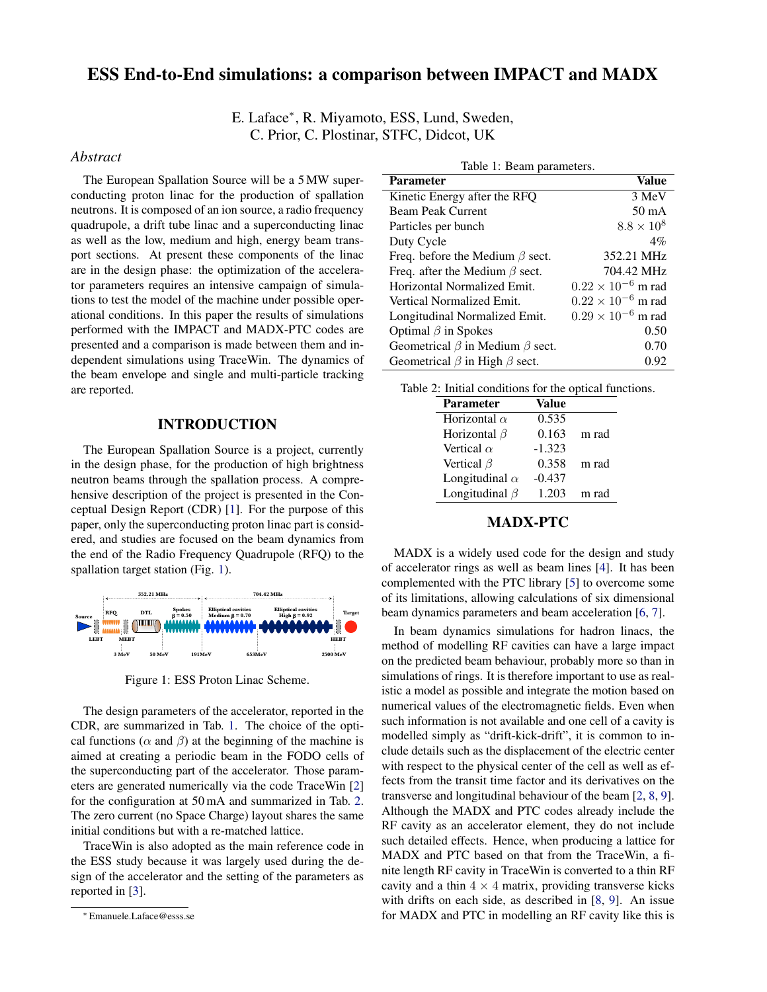# ESS End-to-End simulations: a comparison between IMPACT and MADX

E. Laface<sup>∗</sup> , R. Miyamoto, ESS, Lund, Sweden, C. Prior, C. Plostinar, STFC, Didcot, UK

#### *Abstract*

The European Spallation Source will be a 5 MW superconducting proton linac for the production of spallation neutrons. It is composed of an ion source, a radio frequency quadrupole, a drift tube linac and a superconducting linac as well as the low, medium and high, energy beam transport sections. At present these components of the linac are in the design phase: the optimization of the accelerator parameters requires an intensive campaign of simulations to test the model of the machine under possible operational conditions. In this paper the results of simulations performed with the IMPACT and MADX-PTC codes are presented and a comparison is made between them and independent simulations using TraceWin. The dynamics of the beam envelope and single and multi-particle tracking are reported.

#### INTRODUCTION

The European Spallation Source is a project, currently in the design phase, for the production of high brightness neutron beams through the spallation process. A comprehensive description of the project is presented in the Conceptual Design Report (CDR) [\[1\]](#page-2-0). For the purpose of this paper, only the superconducting proton linac part is considered, and studies are focused on the beam dynamics from the end of the Radio Frequency Quadrupole (RFQ) to the spallation target station (Fig. [1\)](#page-0-0).



<span id="page-0-0"></span>Figure 1: ESS Proton Linac Scheme.

The design parameters of the accelerator, reported in the CDR, are summarized in Tab. [1.](#page-0-1) The choice of the optical functions ( $\alpha$  and  $\beta$ ) at the beginning of the machine is aimed at creating a periodic beam in the FODO cells of the superconducting part of the accelerator. Those parameters are generated numerically via the code TraceWin [\[2\]](#page-2-1) for the configuration at 50 mA and summarized in Tab. [2.](#page-0-2) The zero current (no Space Charge) layout shares the same initial conditions but with a re-matched lattice.

TraceWin is also adopted as the main reference code in the ESS study because it was largely used during the design of the accelerator and the setting of the parameters as reported in [\[3\]](#page-2-2).

<span id="page-0-1"></span>

| Table 1: Beam parameters.                   |                             |  |
|---------------------------------------------|-----------------------------|--|
| <b>Parameter</b>                            | Value                       |  |
| Kinetic Energy after the RFQ                | 3 MeV                       |  |
| <b>Beam Peak Current</b>                    | $50 \text{ mA}$             |  |
| Particles per bunch                         | $8.8 \times 10^8$           |  |
| Duty Cycle                                  | $4\%$                       |  |
| Freq. before the Medium $\beta$ sect.       | 352.21 MHz                  |  |
| Freq. after the Medium $\beta$ sect.        | 704.42 MHz                  |  |
| Horizontal Normalized Emit.                 | $0.22 \times 10^{-6}$ m rad |  |
| Vertical Normalized Emit.                   | $0.22 \times 10^{-6}$ m rad |  |
| Longitudinal Normalized Emit.               | $0.29 \times 10^{-6}$ m rad |  |
| Optimal $\beta$ in Spokes                   | 0.50                        |  |
| Geometrical $\beta$ in Medium $\beta$ sect. | 0.70                        |  |
| Geometrical $\beta$ in High $\beta$ sect.   | 0.92                        |  |

<span id="page-0-2"></span>

| <b>Parameter</b>      | Value    |       |
|-----------------------|----------|-------|
| Horizontal $\alpha$   | 0.535    |       |
| Horizontal $\beta$    | 0.163    | m rad |
| Vertical $\alpha$     | $-1.323$ |       |
| Vertical $\beta$      | 0.358    | m rad |
| Longitudinal $\alpha$ | $-0.437$ |       |
| Longitudinal $\beta$  | 1.203    | m rad |

## MADX-PTC

MADX is a widely used code for the design and study of accelerator rings as well as beam lines [\[4\]](#page-2-3). It has been complemented with the PTC library [\[5\]](#page-2-4) to overcome some of its limitations, allowing calculations of six dimensional beam dynamics parameters and beam acceleration [\[6,](#page-2-5) [7\]](#page-2-6).

In beam dynamics simulations for hadron linacs, the method of modelling RF cavities can have a large impact on the predicted beam behaviour, probably more so than in simulations of rings. It is therefore important to use as realistic a model as possible and integrate the motion based on numerical values of the electromagnetic fields. Even when such information is not available and one cell of a cavity is modelled simply as "drift-kick-drift", it is common to include details such as the displacement of the electric center with respect to the physical center of the cell as well as effects from the transit time factor and its derivatives on the transverse and longitudinal behaviour of the beam [\[2,](#page-2-1) [8,](#page-2-7) [9\]](#page-2-8). Although the MADX and PTC codes already include the RF cavity as an accelerator element, they do not include such detailed effects. Hence, when producing a lattice for MADX and PTC based on that from the TraceWin, a finite length RF cavity in TraceWin is converted to a thin RF cavity and a thin  $4 \times 4$  matrix, providing transverse kicks with drifts on each side, as described in [\[8,](#page-2-7) [9\]](#page-2-8). An issue for MADX and PTC in modelling an RF cavity like this is

<sup>∗</sup> Emanuele.Laface@esss.se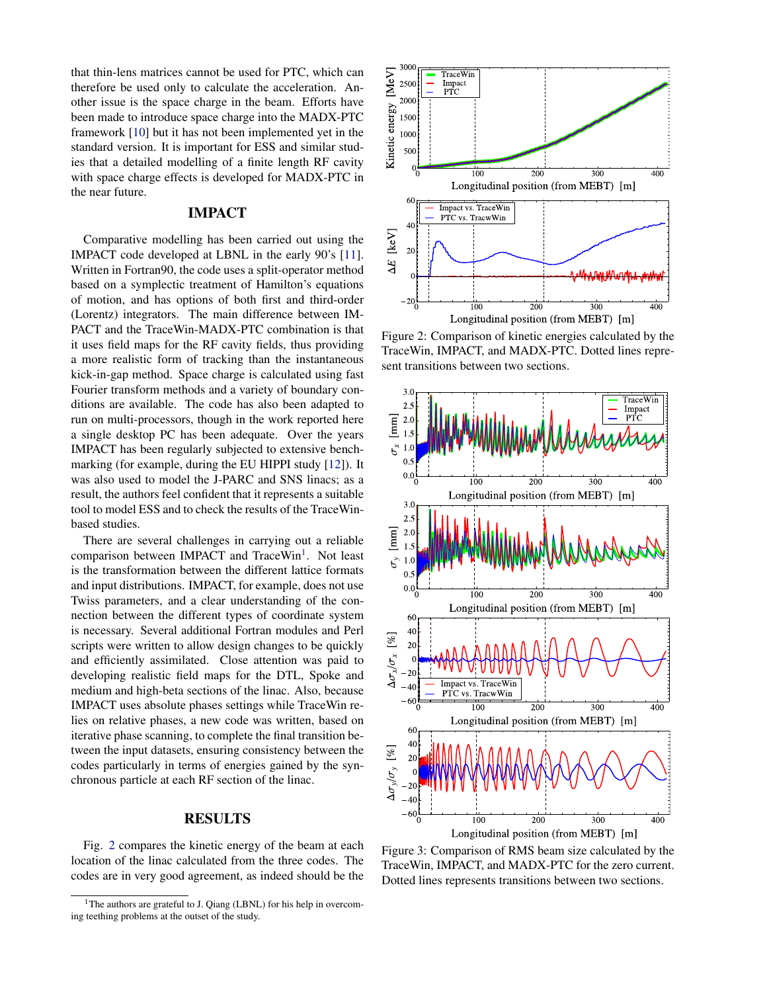that thin-lens matrices cannot be used for PTC, which can therefore be used only to calculate the acceleration. Another issue is the space charge in the beam. Efforts have been made to introduce space charge into the MADX-PTC framework [\[10\]](#page-2-9) but it has not been implemented yet in the standard version. It is important for ESS and similar studies that a detailed modelling of a finite length RF cavity with space charge effects is developed for MADX-PTC in the near future.

### IMPACT

Comparative modelling has been carried out using the IMPACT code developed at LBNL in the early 90's [\[11\]](#page-2-10). Written in Fortran90, the code uses a split-operator method based on a symplectic treatment of Hamilton's equations of motion, and has options of both first and third-order (Lorentz) integrators. The main difference between IM-PACT and the TraceWin-MADX-PTC combination is that it uses field maps for the RF cavity fields, thus providing a more realistic form of tracking than the instantaneous kick-in-gap method. Space charge is calculated using fast Fourier transform methods and a variety of boundary conditions are available. The code has also been adapted to run on multi-processors, though in the work reported here a single desktop PC has been adequate. Over the years IMPACT has been regularly subjected to extensive benchmarking (for example, during the EU HIPPI study [\[12\]](#page-2-11)). It was also used to model the J-PARC and SNS linacs; as a result, the authors feel confident that it represents a suitable tool to model ESS and to check the results of the TraceWinbased studies.

There are several challenges in carrying out a reliable comparison between IMPACT and TraceWin<sup>[1](#page-1-0)</sup>. Not least is the transformation between the different lattice formats and input distributions. IMPACT, for example, does not use Twiss parameters, and a clear understanding of the connection between the different types of coordinate system is necessary. Several additional Fortran modules and Perl scripts were written to allow design changes to be quickly and efficiently assimilated. Close attention was paid to developing realistic field maps for the DTL, Spoke and medium and high-beta sections of the linac. Also, because IMPACT uses absolute phases settings while TraceWin relies on relative phases, a new code was written, based on iterative phase scanning, to complete the final transition between the input datasets, ensuring consistency between the codes particularly in terms of energies gained by the synchronous particle at each RF section of the linac.

### RESULTS

Fig. [2](#page-1-1) compares the kinetic energy of the beam at each location of the linac calculated from the three codes. The codes are in very good agreement, as indeed should be the



<span id="page-1-1"></span>Figure 2: Comparison of kinetic energies calculated by the TraceWin, IMPACT, and MADX-PTC. Dotted lines represent transitions between two sections.



<span id="page-1-2"></span>Figure 3: Comparison of RMS beam size calculated by the TraceWin, IMPACT, and MADX-PTC for the zero current. Dotted lines represents transitions between two sections.

<span id="page-1-0"></span><sup>&</sup>lt;sup>1</sup>The authors are grateful to J. Qiang (LBNL) for his help in overcoming teething problems at the outset of the study.